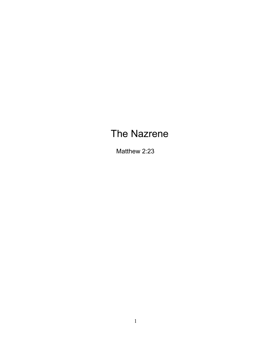# The Nazrene

Matthew 2:23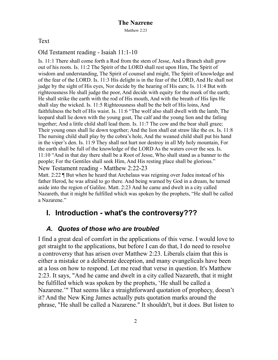Text

#### Old Testament reading - Isaiah 11:1-10

Is. 11:1 There shall come forth a Rod from the stem of Jesse, And a Branch shall grow out of his roots. Is. 11:2 The Spirit of the LORD shall rest upon Him, The Spirit of wisdom and understanding, The Spirit of counsel and might, The Spirit of knowledge and of the fear of the LORD. Is. 11:3 His delight is in the fear of the LORD, And He shall not judge by the sight of His eyes, Nor decide by the hearing of His ears; Is. 11:4 But with righteousness He shall judge the poor, And decide with equity for the meek of the earth; He shall strike the earth with the rod of His mouth, And with the breath of His lips He shall slay the wicked. Is. 11:5 Righteousness shall be the belt of His loins, And faithfulness the belt of His waist. Is. 11:6 "The wolf also shall dwell with the lamb, The leopard shall lie down with the young goat, The calf and the young lion and the fatling together; And a little child shall lead them. Is. 11:7 The cow and the bear shall graze; Their young ones shall lie down together; And the lion shall eat straw like the ox. Is. 11:8 The nursing child shall play by the cobra's hole, And the weaned child shall put his hand in the viper's den. Is. 11:9 They shall not hurt nor destroy in all My holy mountain, For the earth shall be full of the knowledge of the LORD As the waters cover the sea. Is. 11:10 "And in that day there shall be a Root of Jesse, Who shall stand as a banner to the people; For the Gentiles shall seek Him, And His resting place shall be glorious." New Testament reading - Matthew 2:22-23

Matt. 2:22 ¶ But when he heard that Archelaus was reigning over Judea instead of his father Herod, he was afraid to go there. And being warned by God in a dream, he turned aside into the region of Galilee. Matt. 2:23 And he came and dwelt in a city called Nazareth, that it might be fulfilled which was spoken by the prophets, "He shall be called a Nazarene."

# **I. Introduction - what's the controversy???**

# *A. Quotes of those who are troubled*

I find a great deal of comfort in the applications of this verse. I would love to get straight to the applications, but before I can do that, I do need to resolve a controversy that has arisen over Matthew 2:23. Liberals claim that this is either a mistake or a deliberate deception, and many evangelicals have been at a loss on how to respond. Let me read that verse in question. It's Matthew 2:23. It says, "And he came and dwelt in a city called Nazareth, that it might be fulfilled which was spoken by the prophets, 'He shall be called a Nazarene.'" That seems like a straightforward quotation of prophecy, doesn't it? And the New King James actually puts quotation marks around the phrase, "He shall be called a Nazarene." It shouldn't, but it does. But listen to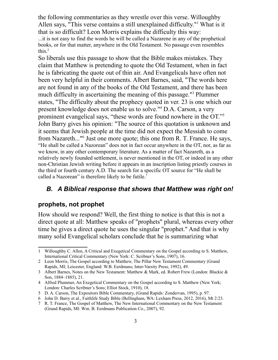the following commentaries as they wrestle over this verse. Willoughby Allen says, "This verse contains a still unexplained difficulty."<sup>1</sup> What is it that is so difficult? Leon Morris explains the difficulty this way:

...it is not easy to find the words he will be called a Nazarene in any of the prophetical books, or for that matter, anywhere in the Old Testament. No passage even resembles this.2

So liberals use this passage to show that the Bible makes mistakes. They claim that Matthew is pretending to quote the Old Testament, when in fact he is fabricating the quote out of thin air. And Evangelicals have often not been very helpful in their comments. Albert Barnes, said, "The words here are not found in any of the books of the Old Testament, and there has been much difficulty in ascertaining the meaning of this passage."3 Plummer states, "The difficulty about the prophecy quoted in ver. 23 is one which our present knowledge does not enable us to solve."4 D.A. Carson, a very prominent evangelical says, "these words are found nowhere in the OT."5 John Barry gives his opinion: "The source of this quotation is unknown and it seems that Jewish people at the time did not expect the Messiah to come from Nazareth..."<sup>6</sup> Just one more quote; this one from R. T. France. He says, "He shall be called a Nazorean" does not in fact occur anywhere in the OT, nor, as far as we know, in any other contemporary literature. As a matter of fact Nazareth, as a relatively newly founded settlement, is never mentioned in the OT, or indeed in any other non-Christian Jewish writing before it appears in an inscription listing priestly courses in the third or fourth century A.D. The search for a specific OT source for "He shall be called a Nazorean" is therefore likely to be futile.<sup>7</sup>

#### *B. A Biblical response that shows that Matthew was right on!*

#### **prophets, not prophet**

How should we respond? Well, the first thing to notice is that this is not a direct quote at all: Matthew speaks of "prophets" plural, whereas every other time he gives a direct quote he uses the singular "prophet." And that is why many solid Evangelical scholars conclude that he is summarizing what

<sup>1</sup> Willoughby C. Allen, A Critical and Exegetical Commentary on the Gospel according to S. Matthew, International Critical Commentary (New York: C. Scribner's Sons, 1907), 16.

<sup>2</sup> Leon Morris, The Gospel according to Matthew, The Pillar New Testament Commentary (Grand Rapids, MI; Leicester, England: W.B. Eerdmans; Inter-Varsity Press, 1992), 49.

<sup>3</sup> Albert Barnes, Notes on the New Testament: Matthew & Mark, ed. Robert Frew (London: Blackie & Son, 1884–1885), 21.

<sup>4</sup> Alfred Plummer, An Exegetical Commentary on the Gospel according to S. Matthew (New York; London: Charles Scribner's Sons; Elliot Stock, 1910), 18.

<sup>5</sup> D. A. Carson, The Expositors Bible Commentary, (Grand Rapids: Zondervan, 1995), p. 97.

<sup>6</sup> John D. Barry et al., Faithlife Study Bible (Bellingham, WA: Lexham Press, 2012, 2016), Mt 2:23.

<sup>7</sup> R. T. France, The Gospel of Matthew, The New International Commentary on the New Testament (Grand Rapids, MI: Wm. B. Eerdmans Publication Co., 2007), 92.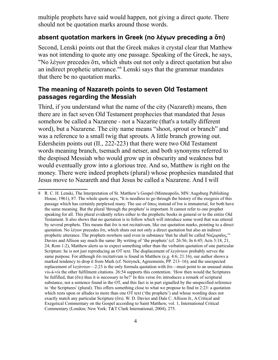multiple prophets have said would happen, not giving a direct quote. There should not be quotation marks around those words.

### **absent quotation markers in Greek (no λέγων preceding a ὅτι)**

Second, Lenski points out that the Greek makes it crystal clear that Matthew was not intending to quote any one passage. Speaking of the Greek, he says, "No λέγων precedes ὅτι, which shuts out not only a direct quotation but also an indirect prophetic utterance."8 Lenski says that the grammar mandates that there be no quotation marks.

#### **The meaning of Nazareth points to seven Old Testament passages regarding the Messiah**

Third, if you understand what the name of the city (Nazareth) means, then there are in fact seven Old Testament prophecies that mandated that Jesus somehow be called a Nazarene - not a Nazarite (that's a totally different word), but a Nazarene. The city name means "shoot, sprout or branch" and was a reference to a small twig that sprouts. A little branch growing out. Edersheim points out (II., 222-223) that there were two Old Testament words meaning branch, tsemach and netser, and both synonyms referred to the despised Messiah who would grow up in obscurity and weakness but would eventually grow into a glorious tree. And so, Matthew is right on the money. There were indeed prophets (plural) whose prophesies mandated that Jesus move to Nazareth and that Jesus be called a Nazarene. And I will

<sup>8</sup> R. C. H. Lenski, The Interpretation of St. Matthew's Gospel (Minneapolis, MN: Augsburg Publishing House, 1961), 87. The whole quote says, "It is needless to go through the history of the exegesis of this passage which has certainly perplexed many. The use of  $\delta \pi \omega$  instead of  $\delta \nu \alpha$  is immaterial, for both have the same meaning. But the plural 'through the prophets' is important. It cannot refer to one prophet speaking for all. This plural evidently refers either to the prophetic books in general or to the entire Old Testament. It also shows that no quotation is to follow which will introduce some word that was uttered by several prophets. This means that ὅτι is not recitativum, like our quotation marks, pointing to a direct quotation. No λέγων precedes ὅτι, which shuts out not only a direct quotation but also an indirect prophetic utterance. The prophets nowhere said even in substance 'that he shall be called Ναζωραῖος.'" Davies and Allison say much the same: By writing of 'the prophets' (cf. 26:56; Jn 6:45; Acts 3:18, 21, 24; Rom 1:2), Matthew alerts us to expect something other than the verbatim quotation of one particular Scripture: he is not just reproducing an OT text. The displacement of λεγόντων probably serves the same purpose. For although ὅτι recitativum is found in Matthew (e.g. 4:6; 21:16), our author shows a marked tendency to drop it from Mark (cf. Neirynck, Agreements, PP. 213–16); and the unexpected replacement of λεγόντων—2:23 is the only formula quotation with  $\delta \tau$  must point to an unusual status vis-à-vis the other fulfilment citations. 26:54 supports this contention. 'How then would the Scriptures be fulfilled, that ( $\delta \tau$ ) thus it is necessary to be?' In this verse  $\delta \tau$  introduces a remark of scriptural substance, not a sentence found in the OT, and this fact is in part signalled by the unspecified reference to 'the Scriptures' (plural). This offers something close to what we propose to find in 2:23: a quotation which rests upon or alludes to more than one OT text ('the prophets') and whose wording does not exactly match any particular Scripture (ὅτι). W. D. Davies and Dale C. Allison Jr., A Critical and Exegetical Commentary on the Gospel according to Saint Matthew, vol. 1, International Critical Commentary (London; New York: T&T Clark International, 2004), 275.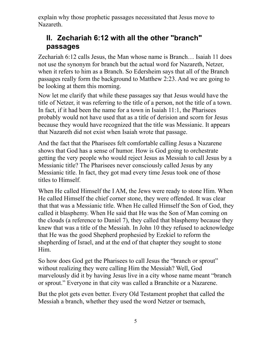explain why those prophetic passages necessitated that Jesus move to Nazareth.

# **II. Zechariah 6:12 with all the other "branch" passages**

Zechariah 6:12 calls Jesus, the Man whose name is Branch… Isaiah 11 does not use the synonym for branch but the actual word for Nazareth, Netzer, when it refers to him as a Branch. So Edersheim says that all of the Branch passages really form the background to Matthew 2:23. And we are going to be looking at them this morning.

Now let me clarify that while these passages say that Jesus would have the title of Netzer, it was referring to the title of a person, not the title of a town. In fact, if it had been the name for a town in Isaiah 11:1, the Pharisees probably would not have used that as a title of derision and scorn for Jesus because they would have recognized that the title was Messianic. It appears that Nazareth did not exist when Isaiah wrote that passage.

And the fact that the Pharisees felt comfortable calling Jesus a Nazarene shows that God has a sense of humor. How is God going to orchestrate getting the very people who would reject Jesus as Messiah to call Jesus by a Messianic title? The Pharisees never consciously called Jesus by any Messianic title. In fact, they got mad every time Jesus took one of those titles to Himself.

When He called Himself the I AM, the Jews were ready to stone Him. When He called Himself the chief corner stone, they were offended. It was clear that that was a Messianic title. When He called Himself the Son of God, they called it blasphemy. When He said that He was the Son of Man coming on the clouds (a reference to Daniel 7), they called that blasphemy because they knew that was a title of the Messiah. In John 10 they refused to acknowledge that He was the good Shepherd prophesied by Ezekiel to reform the shepherding of Israel, and at the end of that chapter they sought to stone Him.

So how does God get the Pharisees to call Jesus the "branch or sprout" without realizing they were calling Him the Messiah? Well, God marvelously did it by having Jesus live in a city whose name meant "branch or sprout." Everyone in that city was called a Branchite or a Nazarene.

But the plot gets even better. Every Old Testament prophet that called the Messiah a branch, whether they used the word Netzer or tsemach,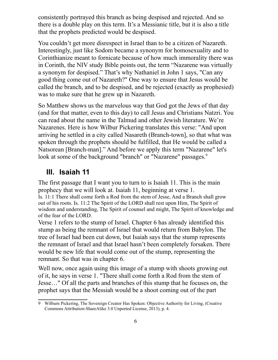consistently portrayed this branch as being despised and rejected. And so there is a double play on this term. It's a Messianic title, but it is also a title that the prophets predicted would be despised.

You couldn't get more disrespect in Israel than to be a citizen of Nazareth. Interestingly, just like Sodom became a synonym for homosexuality and to Corinthianize meant to fornicate because of how much immorality there was in Corinth, the NIV study Bible points out, the term "Nazarene was virtually a synonym for despised." That's why Nathaniel in John 1 says, "Can any good thing come out of Nazareth?" One way to ensure that Jesus would be called the branch, and to be despised, and be rejected (exactly as prophesied) was to make sure that he grew up in Nazareth.

So Matthew shows us the marvelous way that God got the Jews of that day (and for that matter, even to this day) to call Jesus and Christians Natzri. You can read about the name in the Talmud and other Jewish literature. We're Nazarenes. Here is how Wilbur Pickering translates this verse: "And upon arriving he settled in a city called Nasareth (Branch-town], so that what was spoken through the prophets should be fulfilled, that He would be called a Natsorean [Branch-man]." And before we apply this term "Nazarene" let's look at some of the background "branch" or "Nazarene" passages.<sup>9</sup>

# **III. Isaiah 11**

The first passage that I want you to turn to is Isaiah 11. This is the main prophecy that we will look at. Isaiah 11, beginning at verse 1.

Is. 11:1 There shall come forth a Rod from the stem of Jesse, And a Branch shall grow out of his roots. Is. 11:2 The Spirit of the LORD shall rest upon Him, The Spirit of wisdom and understanding, The Spirit of counsel and might, The Spirit of knowledge and of the fear of the LORD.

Verse 1 refers to the stump of Israel. Chapter 6 has already identified this stump as being the remnant of Israel that would return from Babylon. The tree of Israel had been cut down, but Isaiah says that the stump represents the remnant of Israel and that Israel hasn't been completely forsaken. There would be new life that would come out of the stump, representing the remnant. So that was in chapter 6.

Well now, once again using this image of a stump with shoots growing out of it, he says in verse 1. "There shall come forth a Rod from the stem of Jesse…" Of all the parts and branches of this stump that he focuses on, the prophet says that the Messiah would be a shoot coming out of the part

<sup>9</sup> Wilburn Pickering, The Sovereign Creator Has Spoken: Objective Authority for Living, (Creative Commons Attribution-ShareAlike 3.0 Unported License, 2013), p. 4.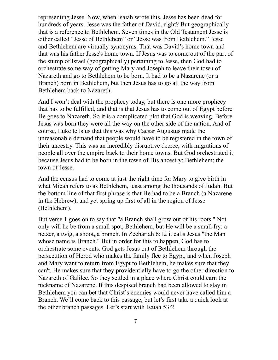representing Jesse. Now, when Isaiah wrote this, Jesse has been dead for hundreds of years. Jesse was the father of David, right? But geographically that is a reference to Bethlehem. Seven times in the Old Testament Jesse is either called "Jesse of Bethlehem" or "Jesse was from Bethlehem." Jesse and Bethlehem are virtually synonyms. That was David's home town and that was his father Jesse's home town. If Jesus was to come out of the part of the stump of Israel (geographically) pertaining to Jesse, then God had to orchestrate some way of getting Mary and Joseph to leave their town of Nazareth and go to Bethlehem to be born. It had to be a Nazarene (or a Branch) born in Bethlehem, but then Jesus has to go all the way from Bethlehem back to Nazareth.

And I won't deal with the prophecy today, but there is one more prophecy that has to be fulfilled, and that is that Jesus has to come out of Egypt before He goes to Nazareth. So it is a complicated plot that God is weaving. Before Jesus was born they were all the way on the other side of the nation. And of course, Luke tells us that this was why Caesar Augustus made the unreasonable demand that people would have to be registered in the town of their ancestry. This was an incredibly disruptive decree, with migrations of people all over the empire back to their home towns. But God orchestrated it because Jesus had to be born in the town of His ancestry: Bethlehem; the town of Jesse.

And the census had to come at just the right time for Mary to give birth in what Micah refers to as Bethlehem, least among the thousands of Judah. But the bottom line of that first phrase is that He had to be a Branch (a Nazarene in the Hebrew), and yet spring up first of all in the region of Jesse (Bethlehem).

But verse 1 goes on to say that "a Branch shall grow out of his roots." Not only will he be from a small spot, Bethlehem, but He will be a small fry: a netzer, a twig, a shoot, a branch. In Zechariah 6:12 it calls Jesus "the Man whose name is Branch." But in order for this to happen, God has to orchestrate some events. God gets Jesus out of Bethlehem through the persecution of Herod who makes the family flee to Egypt, and when Joseph and Mary want to return from Egypt to Bethlehem, he makes sure that they can't. He makes sure that they providentially have to go the other direction to Nazareth of Galilee. So they settled in a place where Christ could earn the nickname of Nazarene. If this despised branch had been allowed to stay in Bethlehem you can bet that Christ's enemies would never have called him a Branch. We'll come back to this passage, but let's first take a quick look at the other branch passages. Let's start with Isaiah 53:2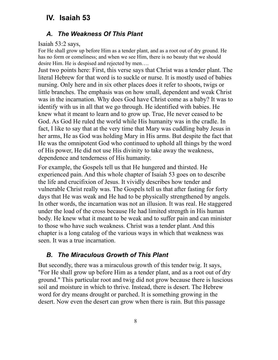# **IV. Isaiah 53**

#### *A. The Weakness Of This Plant*

Isaiah 53:2 says,

For He shall grow up before Him as a tender plant, and as a root out of dry ground. He has no form or comeliness; and when we see Him, there is no beauty that we should desire Him. He is despised and rejected by men….

Just two points here: First, this verse says that Christ was a tender plant. The literal Hebrew for that word is to suckle or nurse. It is mostly used of babies nursing. Only here and in six other places does it refer to shoots, twigs or little branches. The emphasis was on how small, dependent and weak Christ was in the incarnation. Why does God have Christ come as a baby? It was to identify with us in all that we go through. He identified with babies. He knew what it meant to learn and to grow up. True, He never ceased to be God. As God He ruled the world while His humanity was in the cradle. In fact, I like to say that at the very time that Mary was cuddling baby Jesus in her arms, He as God was holding Mary in His arms. But despite the fact that He was the omnipotent God who continued to uphold all things by the word of His power, He did not use His divinity to take away the weakness, dependence and tenderness of His humanity.

For example, the Gospels tell us that He hungered and thirsted. He experienced pain. And this whole chapter of Isaiah 53 goes on to describe the life and crucifixion of Jesus. It vividly describes how tender and vulnerable Christ really was. The Gospels tell us that after fasting for forty days that He was weak and He had to be physically strengthened by angels. In other words, the incarnation was not an illusion. It was real. He staggered under the load of the cross because He had limited strength in His human body. He knew what it meant to be weak and to suffer pain and can minister to those who have such weakness. Christ was a tender plant. And this chapter is a long catalog of the various ways in which that weakness was seen. It was a true incarnation.

#### *B. The Miraculous Growth of This Plant*

But secondly, there was a miraculous growth of this tender twig. It says, "For He shall grow up before Him as a tender plant, and as a root out of dry ground." This particular root and twig did not grow because there is luscious soil and moisture in which to thrive. Instead, there is desert. The Hebrew word for dry means drought or parched. It is something growing in the desert. Now even the desert can grow when there is rain. But this passage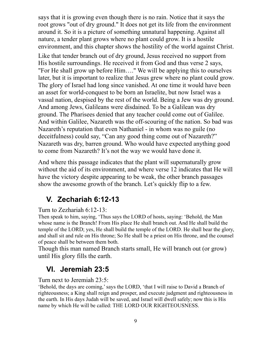says that it is growing even though there is no rain. Notice that it says the root grows "out of dry ground." It does not get its life from the environment around it. So it is a picture of something unnatural happening. Against all nature, a tender plant grows where no plant could grow. It is a hostile environment, and this chapter shows the hostility of the world against Christ.

Like that tender branch out of dry ground, Jesus received no support from His hostile surroundings. He received it from God and thus verse 2 says, "For He shall grow up before Him…." We will be applying this to ourselves later, but it is important to realize that Jesus grew where no plant could grow. The glory of Israel had long since vanished. At one time it would have been an asset for world-conquest to be born an Israelite, but now Israel was a vassal nation, despised by the rest of the world. Being a Jew was dry ground. And among Jews, Galileans were disdained. To be a Galilean was dry ground. The Pharisees denied that any teacher could come out of Galilee. And within Galilee, Nazareth was the off-scouring of the nation. So bad was Nazareth's reputation that even Nathaniel - in whom was no guile (no deceitfulness) could say, "Can any good thing come out of Nazareth?" Nazareth was dry, barren ground. Who would have expected anything good to come from Nazareth? It's not the way we would have done it.

And where this passage indicates that the plant will supernaturally grow without the aid of its environment, and where verse 12 indicates that He will have the victory despite appearing to be weak, the other branch passages show the awesome growth of the branch. Let's quickly flip to a few.

# **V. Zechariah 6:12-13**

#### Turn to Zezhariah 6:12-13:

Then speak to him, saying, 'Thus says the LORD of hosts, saying: 'Behold, the Man whose name is the Branch! From His place He shall branch out. And He shall build the temple of the LORD; yes, He shall build the temple of the LORD. He shall bear the glory, and shall sit and rule on His throne; So He shall be a priest on His throne, and the counsel of peace shall be between them both.

Though this man named Branch starts small, He will branch out (or grow) until His glory fills the earth.

### **VI. Jeremiah 23:5**

Turn next to Jeremiah 23:5:

'Behold, the days are coming,' says the LORD, 'that I will raise to David a Branch of righteousness; a King shall reign and prosper, and execute judgment and righteousness in the earth. In His days Judah will be saved, and Israel will dwell safely; now this is His name by which He will be called: THE LORD OUR RIGHTEOUSNESS.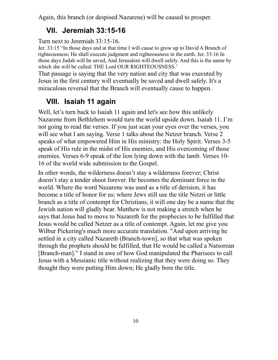Again, this branch (or despised Nazarene) will be caused to prosper.

# **VII. Jeremiah 33:15-16**

Turn next to Jeremiah 33:15-16.

Jer. 33:15 "In those days and at that time I will cause to grow up to David A Branch of righteousness; He shall execute judgment and righteousness in the earth. Jer. 33:16 In those days Judah will be saved, And Jerusalem will dwell safely. And this is the name by which she will be called: THE Lord OUR RIGHTEOUSNESS.'

That passage is saying that the very nation and city that was executed by Jesus in the first century will eventually be saved and dwell safely. It's a miraculous reversal that the Branch will eventually cause to happen.

# **VIII. Isaiah 11 again**

Well, let's turn back to Isaiah 11 again and let's see how this unlikely Nazarene from Bethlehem would turn the world upside down. Isaiah 11. I'm not going to read the verses. If you just scan your eyes over the verses, you will see what I am saying. Verse 1 talks about the Netzer branch. Verse 2 speaks of what empowered Him in His ministry: the Holy Spirit. Verses 3-5 speak of His rule in the midst of His enemies, and His overcoming of those enemies. Verses 6-9 speak of the lion lying down with the lamb. Verses 10- 16 of the world wide submission to the Gospel.

In other words, the wilderness doesn't stay a wilderness forever; Christ doesn't stay a tender shoot forever. He becomes the dominant force in the world. Where the word Nazarene was used as a title of derision, it has become a title of honor for us; where Jews still use the title Netzri or little branch as a title of contempt for Christians, it will one day be a name that the Jewish nation will gladly bear. Matthew is not making a stretch when he says that Jesus had to move to Nazareth for the prophecies to be fulfilled that Jesus would be called Netzer as a title of contempt. Again, let me give you Wilbur Pickering's much more accurate translation. "And upon arriving he settled in a city called Nazareth (Branch-town], so that what was spoken through the prophets should be fulfilled, that He would be called a Natsorean [Branch-man]." I stand in awe of how God manipulated the Pharisees to call Jesus with a Messianic title without realizing that they were doing so. They thought they were putting Him down; He gladly bore the title.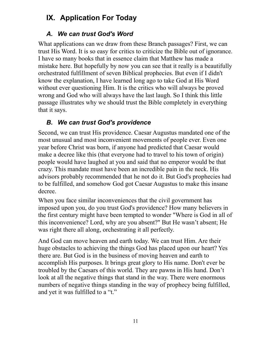# **IX. Application For Today**

### *A. We can trust God's Word*

What applications can we draw from these Branch passages? First, we can trust His Word. It is so easy for critics to criticize the Bible out of ignorance. I have so many books that in essence claim that Matthew has made a mistake here. But hopefully by now you can see that it really is a beautifully orchestrated fulfillment of seven Biblical prophecies. But even if I didn't know the explanation, I have learned long ago to take God at His Word without ever questioning Him. It is the critics who will always be proved wrong and God who will always have the last laugh. So I think this little passage illustrates why we should trust the Bible completely in everything that it says.

## *B. We can trust God's providence*

Second, we can trust His providence. Caesar Augustus mandated one of the most unusual and most inconvenient movements of people ever. Even one year before Christ was born, if anyone had predicted that Caesar would make a decree like this (that everyone had to travel to his town of origin) people would have laughed at you and said that no emperor would be that crazy. This mandate must have been an incredible pain in the neck. His advisors probably recommended that he not do it. But God's prophecies had to be fulfilled, and somehow God got Caesar Augustus to make this insane decree.

When you face similar inconveniences that the civil government has imposed upon you, do you trust God's providence? How many believers in the first century might have been tempted to wonder "Where is God in all of this inconvenience? Lord, why are you absent?" But He wasn't absent; He was right there all along, orchestrating it all perfectly.

And God can move heaven and earth today. We can trust Him. Are their huge obstacles to achieving the things God has placed upon our heart? Yes there are. But God is in the business of moving heaven and earth to accomplish His purposes. It brings great glory to His name. Don't ever be troubled by the Caesars of this world. They are pawns in His hand. Don't look at all the negative things that stand in the way. There were enormous numbers of negative things standing in the way of prophecy being fulfilled, and yet it was fulfilled to a "t."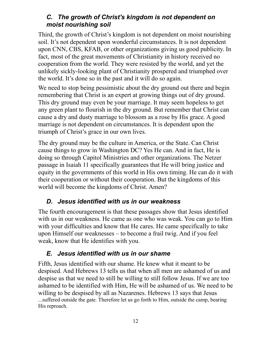### *C. The growth of Christ's kingdom is not dependent on moist nourishing soil*

Third, the growth of Christ's kingdom is not dependent on moist nourishing soil. It's not dependent upon wonderful circumstances. It is not dependent upon CNN, CBS, KFAB, or other organizations giving us good publicity. In fact, most of the great movements of Christianity in history received no cooperation from the world. They were resisted by the world, and yet the unlikely sickly-looking plant of Christianity prospered and triumphed over the world. It's done so in the past and it will do so again.

We need to stop being pessimistic about the dry ground out there and begin remembering that Christ is an expert at growing things out of dry ground. This dry ground may even be your marriage. It may seem hopeless to get any green plant to flourish in the dry ground. But remember that Christ can cause a dry and dusty marriage to blossom as a rose by His grace. A good marriage is not dependent on circumstances. It is dependent upon the triumph of Christ's grace in our own lives.

The dry ground may be the culture in America, or the State. Can Christ cause things to grow in Washington DC? Yes He can. And in fact, He is doing so through Capitol Ministries and other organizations. The Netzer passage in Isaiah 11 specifically guarantees that He will bring justice and equity in the governments of this world in His own timing. He can do it with their cooperation or without their cooperation. But the kingdoms of this world will become the kingdoms of Christ. Amen?

# *D. Jesus identified with us in our weakness*

The fourth encouragement is that these passages show that Jesus identified with us in our weakness. He came as one who was weak. You can go to Him with your difficulties and know that He cares. He came specifically to take upon Himself our weaknesses – to become a frail twig. And if you feel weak, know that He identifies with you.

### *E. Jesus identified with us in our shame*

Fifth, Jesus identified with our shame. He knew what it meant to be despised. And Hebrews 13 tells us that when all men are ashamed of us and despise us that we need to still be willing to still follow Jesus. If we are too ashamed to be identified with Him, He will be ashamed of us. We need to be willing to be despised by all as Nazarenes. Hebrews 13 says that Jesus ...suffered outside the gate. Therefore let us go forth to Him, outside the camp, bearing His reproach.